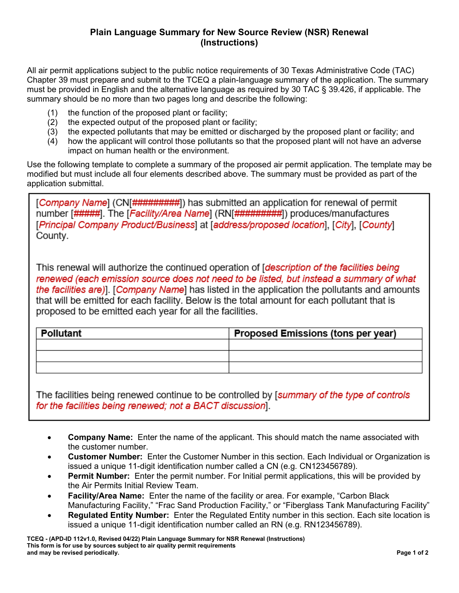## **Plain Language Summary for New Source Review (NSR) Renewal (Instructions)**

All air permit applications subject to the public notice requirements of 30 Texas Administrative Code (TAC) Chapter 39 must prepare and submit to the TCEQ a plain-language summary of the application. The summary must be provided in English and the alternative language as required by 30 TAC § 39.426, if applicable. The summary should be no more than two pages long and describe the following:

- (1) the function of the proposed plant or facility;
- (2) the expected output of the proposed plant or facility;
- (3) the expected pollutants that may be emitted or discharged by the proposed plant or facility; and
- (4) how the applicant will control those pollutants so that the proposed plant will not have an adverse impact on human health or the environment.

Use the following template to complete a summary of the proposed air permit application. The template may be modified but must include all four elements described above. The summary must be provided as part of the application submittal.

[Company Name] (CN[#########]) has submitted an application for renewal of permit number [#####]. The [Facility/Area Name] (RN[#########]) produces/manufactures [Principal Company Product/Business] at [address/proposed location], [City], [County] County.

This renewal will authorize the continued operation of [description of the facilities being renewed (each emission source does not need to be listed, but instead a summary of what the facilities are)]. [Company Name] has listed in the application the pollutants and amounts that will be emitted for each facility. Below is the total amount for each pollutant that is proposed to be emitted each year for all the facilities.

| Pollutant | <b>Proposed Emissions (tons per year)</b> |
|-----------|-------------------------------------------|
|           |                                           |
|           |                                           |
|           |                                           |

The facilities being renewed continue to be controlled by [summary of the type of controls for the facilities being renewed; not a BACT discussion].

- **Company Name:** Enter the name of the applicant. This should match the name associated with the customer number.
- **Customer Number:** Enter the Customer Number in this section. Each Individual or Organization is issued a unique 11-digit identification number called a CN (e.g. CN123456789).
- **Permit Number:** Enter the permit number. For Initial permit applications, this will be provided by the Air Permits Initial Review Team.
- **Facility/Area Name:** Enter the name of the facility or area. For example, "Carbon Black Manufacturing Facility," "Frac Sand Production Facility," or "Fiberglass Tank Manufacturing Facility"
- **Regulated Entity Number:** Enter the Regulated Entity number in this section. Each site location is issued a unique 11-digit identification number called an RN (e.g. RN123456789).

**TCEQ - (APD-ID 112v1.0, Revised 04/22) Plain Language Summary for NSR Renewal (Instructions) This form is for use by sources subject to air quality permit requirements and may be revised periodically. Page 1 of 2**